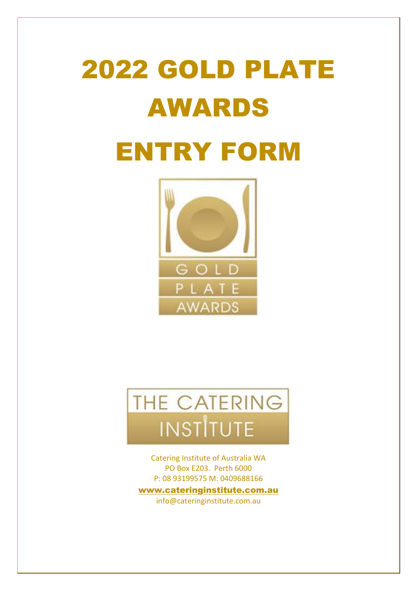# 2022 GOLD PLATE AWARDS ENTRY FORM





Catering Institute of Australia WA PO Box E203. Perth 6000 P: 08 93199575 M: 0409688166

[www.cateringinstitute.com.au](http://www.cateringinstitute.com.au/) info@cateringinstitute.com.au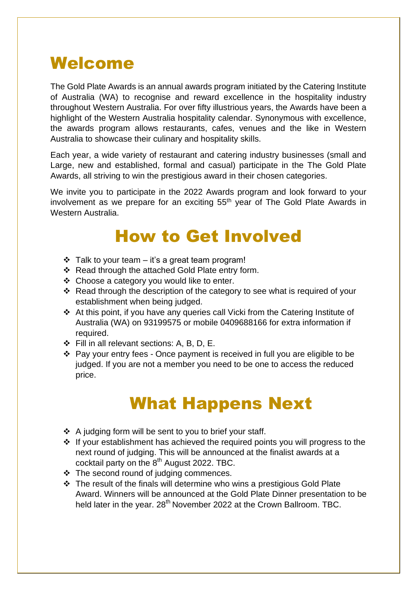# Welcome

The Gold Plate Awards is an annual awards program initiated by the Catering Institute of Australia (WA) to recognise and reward excellence in the hospitality industry throughout Western Australia. For over fifty illustrious years, the Awards have been a highlight of the Western Australia hospitality calendar. Synonymous with excellence, the awards program allows restaurants, cafes, venues and the like in Western Australia to showcase their culinary and hospitality skills.

Each year, a wide variety of restaurant and catering industry businesses (small and Large, new and established, formal and casual) participate in the The Gold Plate Awards, all striving to win the prestigious award in their chosen categories.

We invite you to participate in the 2022 Awards program and look forward to your involvement as we prepare for an exciting 55<sup>th</sup> year of The Gold Plate Awards in Western Australia.

# How to Get Involved

- $\div$  Talk to your team it's a great team program!
- ❖ Read through the attached Gold Plate entry form.
- ❖ Choose a category you would like to enter.
- ❖ Read through the description of the category to see what is required of your establishment when being judged.
- ❖ At this point, if you have any queries call Vicki from the Catering Institute of Australia (WA) on 93199575 or mobile 0409688166 for extra information if required.
- ❖ Fill in all relevant sections: A, B, D, E.
- ❖ Pay your entry fees Once payment is received in full you are eligible to be judged. If you are not a member you need to be one to access the reduced price.

# What Happens Next

- ❖ A judging form will be sent to you to brief your staff.
- ❖ If your establishment has achieved the required points you will progress to the next round of judging. This will be announced at the finalist awards at a cocktail party on the  $8<sup>th</sup>$  August 2022. TBC.
- ❖ The second round of judging commences.
- ❖ The result of the finals will determine who wins a prestigious Gold Plate Award. Winners will be announced at the Gold Plate Dinner presentation to be held later in the year.  $28<sup>th</sup>$  November 2022 at the Crown Ballroom. TBC.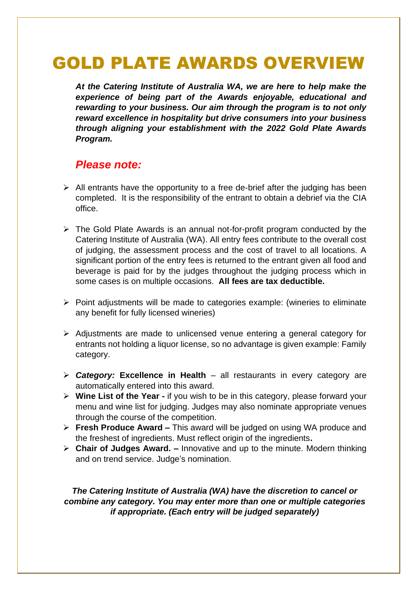# GOLD PLATE AWARDS OVERVIEW

*At the Catering Institute of Australia WA, we are here to help make the experience of being part of the Awards enjoyable, educational and rewarding to your business. Our aim through the program is to not only reward excellence in hospitality but drive consumers into your business through aligning your establishment with the 2022 Gold Plate Awards Program.* 

# *Please note:*

- $\triangleright$  All entrants have the opportunity to a free de-brief after the judging has been completed. It is the responsibility of the entrant to obtain a debrief via the CIA office.
- ➢ The Gold Plate Awards is an annual not-for-profit program conducted by the Catering Institute of Australia (WA). All entry fees contribute to the overall cost of judging, the assessment process and the cost of travel to all locations. A significant portion of the entry fees is returned to the entrant given all food and beverage is paid for by the judges throughout the judging process which in some cases is on multiple occasions. **All fees are tax deductible.**
- ➢ Point adjustments will be made to categories example: (wineries to eliminate any benefit for fully licensed wineries)
- ➢ Adjustments are made to unlicensed venue entering a general category for entrants not holding a liquor license, so no advantage is given example: Family category.
- ➢ *Category:* **Excellence in Health** all restaurants in every category are automatically entered into this award.
- ➢ **Wine List of the Year -** if you wish to be in this category, please forward your menu and wine list for judging. Judges may also nominate appropriate venues through the course of the competition.
- ➢ **Fresh Produce Award –** This award will be judged on using WA produce and the freshest of ingredients. Must reflect origin of the ingredients**.**
- ➢ **Chair of Judges Award. –** Innovative and up to the minute. Modern thinking and on trend service. Judge's nomination.

#### *The Catering Institute of Australia (WA) have the discretion to cancel or combine any category. You may enter more than one or multiple categories if appropriate. (Each entry will be judged separately)*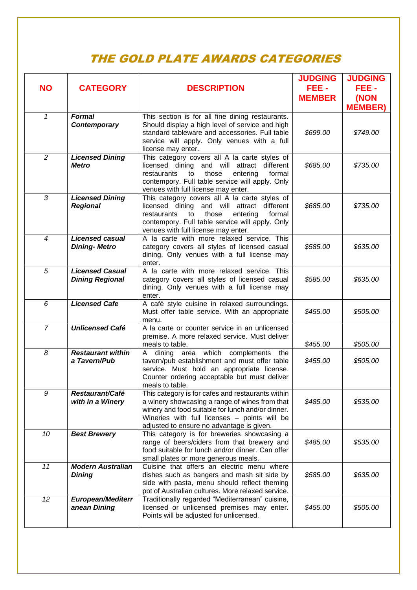# THE GOLD PLATE AWARDS CATEGORIES

| <b>NO</b>      | <b>CATEGORY</b>                                  | <b>DESCRIPTION</b>                                                                                                                                                                                                                                    | <b>JUDGING</b><br>FEE-<br><b>MEMBER</b> | <b>JUDGING</b><br>FEE-<br>(NON<br><b>MEMBER)</b> |
|----------------|--------------------------------------------------|-------------------------------------------------------------------------------------------------------------------------------------------------------------------------------------------------------------------------------------------------------|-----------------------------------------|--------------------------------------------------|
| $\mathbf{1}$   | <b>Formal</b><br>Contemporary                    | This section is for all fine dining restaurants.<br>Should display a high level of service and high<br>standard tableware and accessories. Full table<br>service will apply. Only venues with a full<br>license may enter.                            | \$699.00                                | \$749.00                                         |
| $\overline{2}$ | <b>Licensed Dining</b><br><b>Metro</b>           | This category covers all A la carte styles of<br>licensed dining and will attract<br>different<br>formal<br>those<br>entering<br>restaurants<br>to<br>contempory. Full table service will apply. Only<br>venues with full license may enter.          | \$685.00                                | \$735.00                                         |
| 3              | <b>Licensed Dining</b><br><b>Regional</b>        | This category covers all A la carte styles of<br>licensed dining and will attract<br>different<br>those<br>formal<br>restaurants<br>to<br>entering<br>contempory. Full table service will apply. Only<br>venues with full license may enter.          | \$685.00                                | \$735.00                                         |
| $\overline{4}$ | <b>Licensed casual</b><br><b>Dining-Metro</b>    | A la carte with more relaxed service. This<br>category covers all styles of licensed casual<br>dining. Only venues with a full license may<br>enter.                                                                                                  | \$585.00                                | \$635.00                                         |
| 5              | <b>Licensed Casual</b><br><b>Dining Regional</b> | A la carte with more relaxed service. This<br>category covers all styles of licensed casual<br>dining. Only venues with a full license may<br>enter.                                                                                                  | \$585.00                                | \$635.00                                         |
| 6              | <b>Licensed Cafe</b>                             | A café style cuisine in relaxed surroundings.<br>Must offer table service. With an appropriate<br>menu.                                                                                                                                               | \$455.00                                | \$505.00                                         |
| $\overline{7}$ | <b>Unlicensed Café</b>                           | A la carte or counter service in an unlicensed<br>premise. A more relaxed service. Must deliver<br>meals to table.                                                                                                                                    | \$455.00                                | \$505.00                                         |
| 8              | <b>Restaurant within</b><br>a Tavern/Pub         | A dining area which complements the<br>tavern/pub establishment and must offer table<br>service. Must hold an appropriate license.<br>Counter ordering acceptable but must deliver<br>meals to table.                                                 | \$455.00                                | \$505.00                                         |
| 9              | Restaurant/Café<br>with in a Winery              | This category is for cafes and restaurants within<br>a winery showcasing a range of wines from that<br>winery and food suitable for lunch and/or dinner.<br>Wineries with full licenses - points will be<br>adjusted to ensure no advantage is given. | \$485.00                                | \$535.00                                         |
| 10             | <b>Best Brewery</b>                              | This category is for breweries showcasing a<br>range of beers/ciders from that brewery and<br>food suitable for lunch and/or dinner. Can offer<br>small plates or more generous meals.                                                                | \$485.00                                | \$535.00                                         |
| 11             | <b>Modern Australian</b><br><b>Dining</b>        | Cuisine that offers an electric menu where<br>dishes such as bangers and mash sit side by<br>side with pasta, menu should reflect theming<br>pot of Australian cultures. More relaxed service.                                                        | \$585.00                                | \$635.00                                         |
| 12             | <b>European/Mediterr</b><br>anean Dining         | Traditionally regarded "Mediterranean" cuisine,<br>licensed or unlicensed premises may enter.<br>Points will be adjusted for unlicensed.                                                                                                              | \$455.00                                | \$505.00                                         |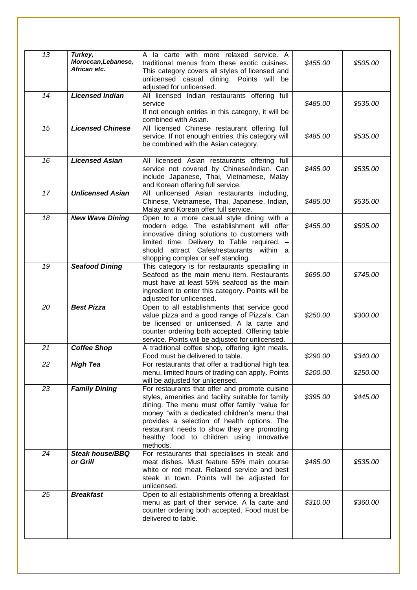| 13 | Turkey,<br>Moroccan, Lebanese,<br>African etc. | A la carte with more relaxed service. A<br>traditional menus from these exotic cuisines.<br>This category covers all styles of licensed and<br>unlicensed casual dining. Points will<br>be<br>adjusted for unlicensed.                                                                                                                                       | \$455.00 | \$505.00 |
|----|------------------------------------------------|--------------------------------------------------------------------------------------------------------------------------------------------------------------------------------------------------------------------------------------------------------------------------------------------------------------------------------------------------------------|----------|----------|
| 14 | <b>Licensed Indian</b>                         | All licensed Indian restaurants offering full<br>service<br>If not enough entries in this category, it will be<br>combined with Asian.                                                                                                                                                                                                                       | \$485.00 | \$535.00 |
| 15 | <b>Licensed Chinese</b>                        | All licensed Chinese restaurant offering full<br>service. If not enough entries, this category will<br>be combined with the Asian category.                                                                                                                                                                                                                  | \$485.00 | \$535.00 |
| 16 | <b>Licensed Asian</b>                          | All licensed Asian restaurants offering full<br>service not covered by Chinese/Indian. Can<br>include Japanese, Thai, Vietnamese, Malay<br>and Korean offering full service.                                                                                                                                                                                 | \$485.00 | \$535.00 |
| 17 | <b>Unlicensed Asian</b>                        | All unlicensed Asian restaurants including,<br>Chinese, Vietnamese, Thai, Japanese, Indian,<br>Malay and Korean offer full service.                                                                                                                                                                                                                          | \$485.00 | \$535.00 |
| 18 | <b>New Wave Dining</b>                         | Open to a more casual style dining with a<br>modern edge. The establishment will offer<br>innovative dining solutions to customers with<br>limited time. Delivery to Table required.<br>attract Cafes/restaurants within a<br>should<br>shopping complex or self standing.                                                                                   | \$455.00 | \$505.00 |
| 19 | <b>Seafood Dining</b>                          | This category is for restaurants specialling in<br>Seafood as the main menu item. Restaurants<br>must have at least 55% seafood as the main<br>ingredient to enter this category. Points will be<br>adjusted for unlicensed.                                                                                                                                 | \$695.00 | \$745.00 |
| 20 | <b>Best Pizza</b>                              | Open to all establishments that service good<br>value pizza and a good range of Pizza's. Can<br>be licensed or unlicensed. A la carte and<br>counter ordering both accepted. Offering table<br>service. Points will be adjusted for unlicensed.                                                                                                              | \$250.00 | \$300.00 |
| 21 | <b>Coffee Shop</b>                             | A traditional coffee shop, offering light meals.<br>Food must be delivered to table.                                                                                                                                                                                                                                                                         | \$290.00 | \$340.00 |
| 22 | <b>High Tea</b>                                | For restaurants that offer a traditional high tea<br>menu, limited hours of trading can apply. Points<br>will be adjusted for unlicensed.                                                                                                                                                                                                                    | \$200.00 | \$250.00 |
| 23 | <b>Family Dining</b>                           | For restaurants that offer and promote cuisine<br>styles, amenities and facility suitable for family<br>dining. The menu must offer family "value for<br>money "with a dedicated children's menu that<br>provides a selection of health options. The<br>restaurant needs to show they are promoting<br>healthy food to children using innovative<br>methods. | \$395.00 | \$445.00 |
| 24 | <b>Steak house/BBQ</b><br>or Grill             | For restaurants that specialises in steak and<br>meat dishes. Must feature 55% main course<br>white or red meat. Relaxed service and best<br>steak in town. Points will be adjusted for<br>unlicensed.                                                                                                                                                       | \$485.00 | \$535.00 |
| 25 | <b>Breakfast</b>                               | Open to all establishments offering a breakfast<br>menu as part of their service. A la carte and<br>counter ordering both accepted. Food must be<br>delivered to table.                                                                                                                                                                                      | \$310.00 | \$360.00 |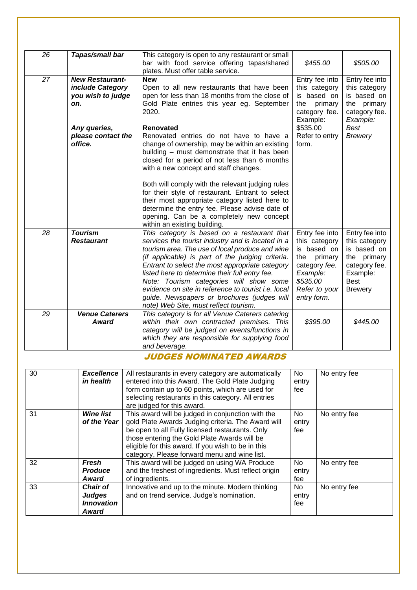| 26 | Tapas/small bar                                                                                                         | This category is open to any restaurant or small<br>bar with food service offering tapas/shared<br>plates. Must offer table service.                                                                                                                                                                                                                                                                                                                                                                   | \$455.00                                                                                                                                  | \$505.00                                                                                                                    |
|----|-------------------------------------------------------------------------------------------------------------------------|--------------------------------------------------------------------------------------------------------------------------------------------------------------------------------------------------------------------------------------------------------------------------------------------------------------------------------------------------------------------------------------------------------------------------------------------------------------------------------------------------------|-------------------------------------------------------------------------------------------------------------------------------------------|-----------------------------------------------------------------------------------------------------------------------------|
| 27 | <b>New Restaurant-</b><br>include Category<br>you wish to judge<br>on.<br>Any queries,<br>please contact the<br>office. | <b>New</b><br>Open to all new restaurants that have been<br>open for less than 18 months from the close of<br>Gold Plate entries this year eg. September<br>2020.<br><b>Renovated</b><br>Renovated entries do not have to have a<br>change of ownership, may be within an existing<br>building - must demonstrate that it has been<br>closed for a period of not less than 6 months<br>with a new concept and staff changes.                                                                           | Entry fee into<br>this category<br>is based on<br>primary<br>the<br>category fee.<br>Example:<br>\$535.00<br>Refer to entry<br>form.      | Entry fee into<br>this category<br>is based on<br>the primary<br>category fee.<br>Example:<br>Best<br><b>Brewery</b>        |
|    |                                                                                                                         | Both will comply with the relevant judging rules<br>for their style of restaurant. Entrant to select<br>their most appropriate category listed here to<br>determine the entry fee. Please advise date of<br>opening. Can be a completely new concept<br>within an existing building.                                                                                                                                                                                                                   |                                                                                                                                           |                                                                                                                             |
| 28 | <b>Tourism</b><br><b>Restaurant</b>                                                                                     | This category is based on a restaurant that<br>services the tourist industry and is located in a<br>tourism area. The use of local produce and wine<br>(if applicable) is part of the judging criteria.<br>Entrant to select the most appropriate category<br>listed here to determine their full entry fee.<br>Note: Tourism categories will show some<br>evidence on site in reference to tourist i.e. local<br>guide. Newspapers or brochures (judges will<br>note) Web Site, must reflect tourism. | Entry fee into<br>this category<br>is based on<br>the<br>primary<br>category fee.<br>Example:<br>\$535.00<br>Refer to your<br>entry form. | Entry fee into<br>this category<br>is based on<br>the primary<br>category fee.<br>Example:<br><b>Best</b><br><b>Brewery</b> |
| 29 | <b>Venue Caterers</b><br>Award                                                                                          | This category is for all Venue Caterers catering<br>within their own contracted premises. This<br>category will be judged on events/functions in<br>which they are responsible for supplying food<br>and beverage.                                                                                                                                                                                                                                                                                     | \$395.00                                                                                                                                  | \$445.00                                                                                                                    |

#### JUDGES NOMINATED AWARDS

| 30 | <b>Excellence</b><br>in health                          | All restaurants in every category are automatically<br>entered into this Award. The Gold Plate Judging<br>form contain up to 60 points, which are used for<br>selecting restaurants in this category. All entries<br>are judged for this award.                                                                  | No.<br>entry<br>fee | No entry fee |
|----|---------------------------------------------------------|------------------------------------------------------------------------------------------------------------------------------------------------------------------------------------------------------------------------------------------------------------------------------------------------------------------|---------------------|--------------|
| 31 | <b>Wine list</b><br>of the Year                         | This award will be judged in conjunction with the<br>gold Plate Awards Judging criteria. The Award will<br>be open to all Fully licensed restaurants. Only<br>those entering the Gold Plate Awards will be<br>eligible for this award. If you wish to be in this<br>category, Please forward menu and wine list. | No.<br>entry<br>fee | No entry fee |
| 32 | Fresh<br><b>Produce</b><br>Award                        | This award will be judged on using WA Produce<br>and the freshest of ingredients. Must reflect origin<br>of ingredients.                                                                                                                                                                                         | No.<br>entry<br>fee | No entry fee |
| 33 | Chair of<br><b>Judges</b><br><b>Innovation</b><br>Award | Innovative and up to the minute. Modern thinking<br>and on trend service. Judge's nomination.                                                                                                                                                                                                                    | No.<br>entry<br>fee | No entry fee |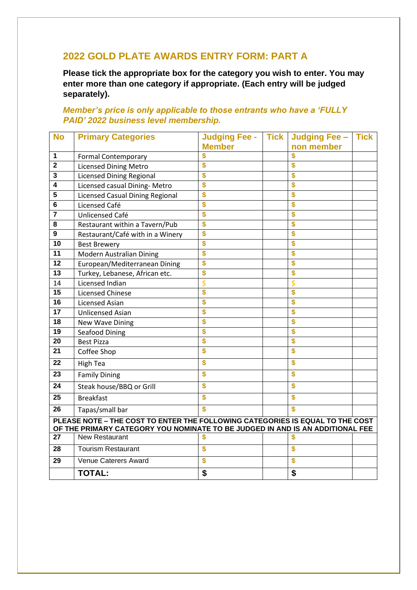#### **GOLD PLATE AWARDS ENTRY FORM: PART A**

**Please tick the appropriate box for the category you wish to enter. You may enter more than one category if appropriate. (Each entry will be judged separately).**

#### *Member's price is only applicable to those entrants who have a 'FULLY PAID' 2022 business level membership.*

| <b>No</b>                                                                     | <b>Primary Categories</b>                                                     | <b>Judging Fee -</b> | <b>Tick</b> | Judging Fee -    | <b>Tick</b> |
|-------------------------------------------------------------------------------|-------------------------------------------------------------------------------|----------------------|-------------|------------------|-------------|
|                                                                               |                                                                               | <b>Member</b>        |             | non member       |             |
| 1                                                                             | <b>Formal Contemporary</b>                                                    |                      |             |                  |             |
| $\overline{\mathbf{2}}$                                                       | <b>Licensed Dining Metro</b>                                                  | \$                   |             | \$               |             |
| 3                                                                             | <b>Licensed Dining Regional</b>                                               | \$                   |             | \$               |             |
| $\overline{\mathbf{4}}$                                                       | Licensed casual Dining- Metro                                                 | \$                   |             | \$               |             |
| 5                                                                             | <b>Licensed Casual Dining Regional</b>                                        | \$                   |             |                  |             |
| 6                                                                             | Licensed Café                                                                 |                      |             | \$               |             |
| $\overline{7}$                                                                | Unlicensed Café                                                               | \$                   |             | \$               |             |
| 8                                                                             | Restaurant within a Tavern/Pub                                                | \$                   |             |                  |             |
| 9                                                                             | Restaurant/Café with in a Winery                                              | \$                   |             | \$               |             |
| 10                                                                            | <b>Best Brewery</b>                                                           | \$                   |             | \$               |             |
| 11                                                                            | Modern Australian Dining                                                      | \$                   |             | S                |             |
| 12                                                                            | European/Mediterranean Dining                                                 | \$                   |             | \$               |             |
| 13                                                                            | Turkey, Lebanese, African etc.                                                | \$                   |             | \$               |             |
| 14                                                                            | Licensed Indian                                                               |                      |             |                  |             |
| 15                                                                            | <b>Licensed Chinese</b>                                                       | \$                   |             | \$               |             |
| 16                                                                            | <b>Licensed Asian</b>                                                         | \$                   |             | S                |             |
| 17                                                                            | <b>Unlicensed Asian</b>                                                       | \$                   |             | \$               |             |
| 18                                                                            | New Wave Dining                                                               | \$                   |             | \$               |             |
| $\overline{19}$                                                               | Seafood Dining                                                                | \$                   |             |                  |             |
| 20                                                                            | <b>Best Pizza</b>                                                             | \$                   |             | \$               |             |
| 21                                                                            | Coffee Shop                                                                   | \$                   |             | \$               |             |
| 22                                                                            | <b>High Tea</b>                                                               | \$                   |             | \$               |             |
| 23                                                                            | <b>Family Dining</b>                                                          | \$                   |             | \$               |             |
| 24                                                                            | Steak house/BBQ or Grill                                                      | \$                   |             | \$               |             |
| 25                                                                            | <b>Breakfast</b>                                                              | \$                   |             | S                |             |
| 26                                                                            | Tapas/small bar                                                               | \$                   |             | Ś                |             |
| PLEASE NOTE - THE COST TO ENTER THE FOLLOWING CATEGORIES IS EQUAL TO THE COST |                                                                               |                      |             |                  |             |
|                                                                               | OF THE PRIMARY CATEGORY YOU NOMINATE TO BE JUDGED IN AND IS AN ADDITIONAL FEE |                      |             |                  |             |
| 27                                                                            | New Restaurant                                                                | \$                   |             |                  |             |
| 28                                                                            | <b>Tourism Restaurant</b>                                                     | \$                   |             | $\boldsymbol{s}$ |             |
| 29                                                                            | Venue Caterers Award                                                          | \$                   |             | \$               |             |
|                                                                               | <b>TOTAL:</b>                                                                 | \$                   |             | \$               |             |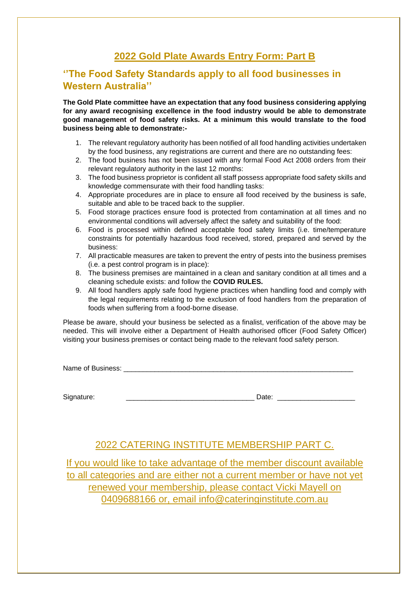# **2022 Gold Plate Awards Entry Form: Part B**

#### **''The Food Safety Standards apply to all food businesses in Western Australia''**

**The Gold Plate committee have an expectation that any food business considering applying for any award recognising excellence in the food industry would be able to demonstrate good management of food safety risks. At a minimum this would translate to the food business being able to demonstrate:-**

- 1. The relevant regulatory authority has been notified of all food handling activities undertaken by the food business, any registrations are current and there are no outstanding fees:
- 2. The food business has not been issued with any formal Food Act 2008 orders from their relevant regulatory authority in the last 12 months:
- 3. The food business proprietor is confident all staff possess appropriate food safety skills and knowledge commensurate with their food handling tasks:
- 4. Appropriate procedures are in place to ensure all food received by the business is safe, suitable and able to be traced back to the supplier.
- 5. Food storage practices ensure food is protected from contamination at all times and no environmental conditions will adversely affect the safety and suitability of the food:
- 6. Food is processed within defined acceptable food safety limits (i.e. time/temperature constraints for potentially hazardous food received, stored, prepared and served by the business:
- 7. All practicable measures are taken to prevent the entry of pests into the business premises (i.e. a pest control program is in place):
- 8. The business premises are maintained in a clean and sanitary condition at all times and a cleaning schedule exists: and follow the **COVID RULES.**
- 9. All food handlers apply safe food hygiene practices when handling food and comply with the legal requirements relating to the exclusion of food handlers from the preparation of foods when suffering from a food-borne disease.

Please be aware, should your business be selected as a finalist, verification of the above may be needed. This will involve either a Department of Health authorised officer (Food Safety Officer) visiting your business premises or contact being made to the relevant food safety person.

Name of Business: **We are all that the set of Business:**  $\blacksquare$ 

Signature: \_\_\_\_\_\_\_\_\_\_\_\_\_\_\_\_\_\_\_\_\_\_\_\_\_\_\_\_\_\_\_\_\_ Date: \_\_\_\_\_\_\_\_\_\_\_\_\_\_\_\_\_\_\_\_

### 2022 CATERING INSTITUTE MEMBERSHIP PART C.

If you would like to take advantage of the member discount available to all categories and are either not a current member or have not yet renewed your membership, please contact Vicki Mayell on 0409688166 or, email info@cateringinstitute.com.au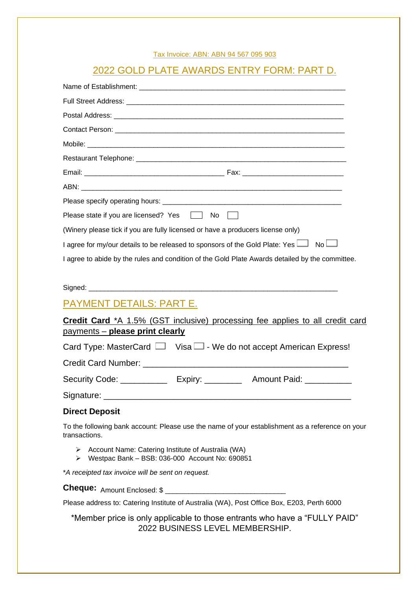|--|

### 2022 GOLD PLATE AWARDS ENTRY FORM: PART D.

| Please state if you are licensed? Yes and No                                                                     |
|------------------------------------------------------------------------------------------------------------------|
| (Winery please tick if you are fully licensed or have a producers license only)                                  |
| I agree for my/our details to be released to sponsors of the Gold Plate: Yes $\Box$ No $\Box$                    |
| I agree to abide by the rules and condition of the Gold Plate Awards detailed by the committee.                  |
|                                                                                                                  |
| PAYMENT DETAILS: PART E.                                                                                         |
| <b>Credit Card</b> *A 1.5% (GST inclusive) processing fee applies to all credit card                             |
| <u>payments – please print clearly</u>                                                                           |
| Card Type: MasterCard $\Box$ Visa $\Box$ - We do not accept American Express!                                    |
|                                                                                                                  |
| Security Code: _______________ Expiry: _____________ Amount Paid: ______________                                 |
|                                                                                                                  |
| <b>Direct Deposit</b>                                                                                            |
| To the following bank account: Please use the name of your establishment as a reference on your<br>transactions. |
| > Account Name: Catering Institute of Australia (WA)<br>▶ Westpac Bank - BSB: 036-000 Account No: 690851         |
| *A receipted tax invoice will be sent on request.                                                                |
|                                                                                                                  |

Please address to: Catering Institute of Australia (WA), Post Office Box, E203, Perth 6000

\*Member price is only applicable to those entrants who have a "FULLY PAID" 2022 BUSINESS LEVEL MEMBERSHIP.